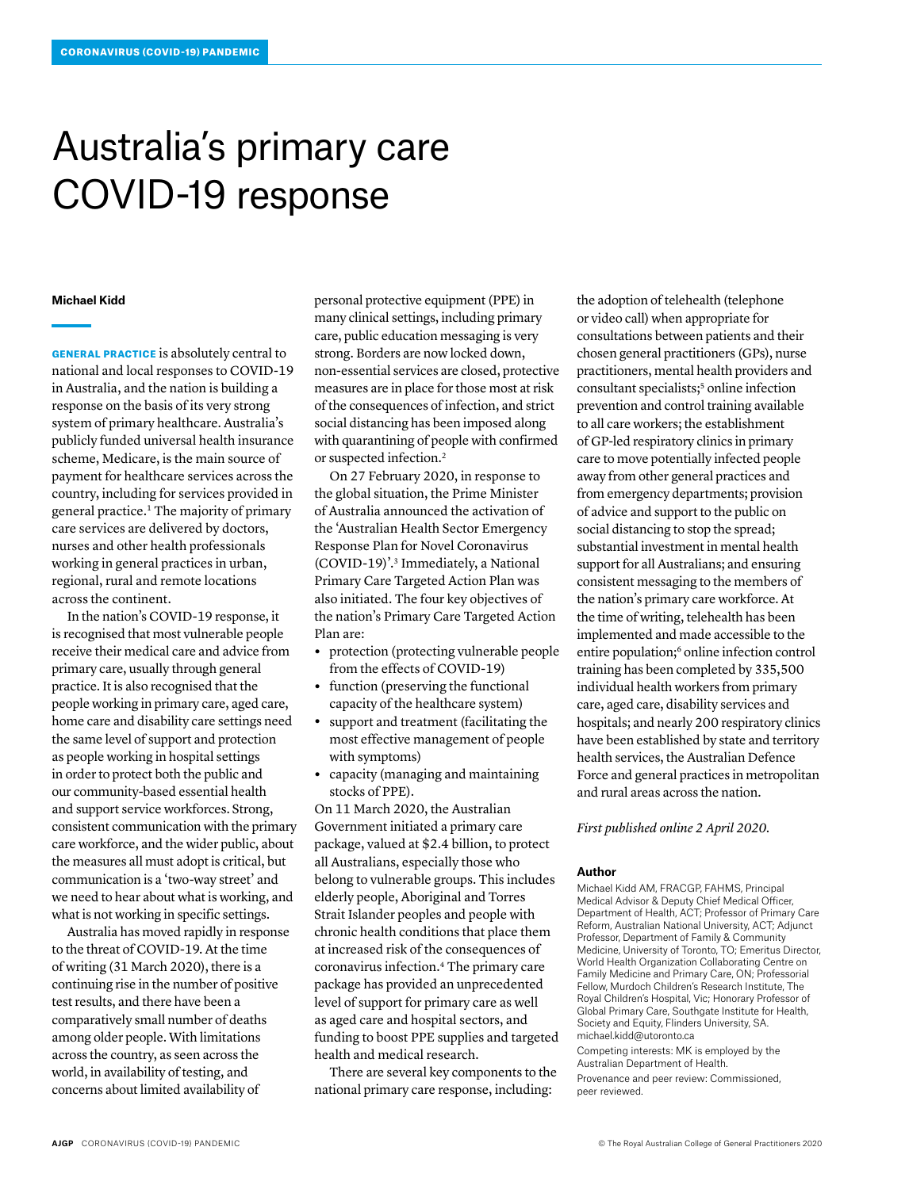## Australia's primary care COVID-19 response

## **Michael Kidd**

GENERAL PRACTICE is absolutely central to national and local responses to COVID-19 in Australia, and the nation is building a response on the basis of its very strong system of primary healthcare. Australia's publicly funded universal health insurance scheme, Medicare, is the main source of payment for healthcare services across the country, including for services provided in general practice.1 The majority of primary care services are delivered by doctors, nurses and other health professionals working in general practices in urban, regional, rural and remote locations across the continent.

In the nation's COVID-19 response, it is recognised that most vulnerable people receive their medical care and advice from primary care, usually through general practice. It is also recognised that the people working in primary care, aged care, home care and disability care settings need the same level of support and protection as people working in hospital settings in order to protect both the public and our community-based essential health and support service workforces. Strong, consistent communication with the primary care workforce, and the wider public, about the measures all must adopt is critical, but communication is a 'two-way street' and we need to hear about what is working, and what is not working in specific settings.

Australia has moved rapidly in response to the threat of COVID-19. At the time of writing (31 March 2020), there is a continuing rise in the number of positive test results, and there have been a comparatively small number of deaths among older people. With limitations across the country, as seen across the world, in availability of testing, and concerns about limited availability of

personal protective equipment (PPE) in many clinical settings, including primary care, public education messaging is very strong. Borders are now locked down, non-essential services are closed, protective measures are in place for those most at risk of the consequences of infection, and strict social distancing has been imposed along with quarantining of people with confirmed or suspected infection.2

On 27 February 2020, in response to the global situation, the Prime Minister of Australia announced the activation of the 'Australian Health Sector Emergency Response Plan for Novel Coronavirus (COVID-19)'.3 Immediately, a National Primary Care Targeted Action Plan was also initiated. The four key objectives of the nation's Primary Care Targeted Action Plan are:

- **•** protection (protecting vulnerable people from the effects of COVID-19)
- **•** function (preserving the functional capacity of the healthcare system)
- **•** support and treatment (facilitating the most effective management of people with symptoms)
- **•** capacity (managing and maintaining stocks of PPE).

On 11 March 2020, the Australian Government initiated a primary care package, valued at \$2.4 billion, to protect all Australians, especially those who belong to vulnerable groups. This includes elderly people, Aboriginal and Torres Strait Islander peoples and people with chronic health conditions that place them at increased risk of the consequences of coronavirus infection.4 The primary care package has provided an unprecedented level of support for primary care as well as aged care and hospital sectors, and funding to boost PPE supplies and targeted health and medical research.

There are several key components to the national primary care response, including:

the adoption of telehealth (telephone or video call) when appropriate for consultations between patients and their chosen general practitioners (GPs), nurse practitioners, mental health providers and consultant specialists;5 online infection prevention and control training available to all care workers; the establishment of GP-led respiratory clinics in primary care to move potentially infected people away from other general practices and from emergency departments; provision of advice and support to the public on social distancing to stop the spread; substantial investment in mental health support for all Australians; and ensuring consistent messaging to the members of the nation's primary care workforce. At the time of writing, telehealth has been implemented and made accessible to the entire population;<sup>6</sup> online infection control training has been completed by 335,500 individual health workers from primary care, aged care, disability services and hospitals; and nearly 200 respiratory clinics have been established by state and territory health services, the Australian Defence Force and general practices in metropolitan and rural areas across the nation.

*First published online 2 April 2020.*

## **Author**

Michael Kidd AM, FRACGP, FAHMS, Principal Medical Advisor & Deputy Chief Medical Officer, Department of Health, ACT; Professor of Primary Care Reform, Australian National University, ACT; Adjunct Professor, Department of Family & Community Medicine, University of Toronto, TO; Emeritus Director, World Health Organization Collaborating Centre on Family Medicine and Primary Care, ON; Professorial Fellow, Murdoch Children's Research Institute, The Royal Children's Hospital, Vic; Honorary Professor of Global Primary Care, Southgate Institute for Health, Society and Equity, Flinders University, SA. michael.kidd@utoronto.ca

Competing interests: MK is employed by the Australian Department of Health.

Provenance and peer review: Commissioned, peer reviewed.